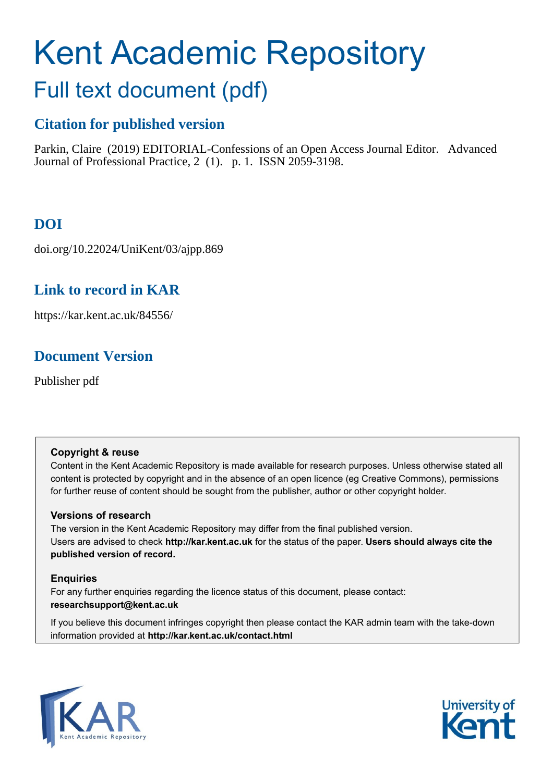# Kent Academic Repository

# Full text document (pdf)

# **Citation for published version**

Parkin, Claire (2019) EDITORIAL-Confessions of an Open Access Journal Editor. Advanced Journal of Professional Practice, 2 (1). p. 1. ISSN 2059-3198.

# **DOI**

doi.org/10.22024/UniKent/03/ajpp.869

# **Link to record in KAR**

https://kar.kent.ac.uk/84556/

# **Document Version**

Publisher pdf

#### **Copyright & reuse**

Content in the Kent Academic Repository is made available for research purposes. Unless otherwise stated all content is protected by copyright and in the absence of an open licence (eg Creative Commons), permissions for further reuse of content should be sought from the publisher, author or other copyright holder.

#### **Versions of research**

The version in the Kent Academic Repository may differ from the final published version. Users are advised to check **http://kar.kent.ac.uk** for the status of the paper. **Users should always cite the published version of record.**

#### **Enquiries**

For any further enquiries regarding the licence status of this document, please contact: **researchsupport@kent.ac.uk**

If you believe this document infringes copyright then please contact the KAR admin team with the take-down information provided at **http://kar.kent.ac.uk/contact.html**